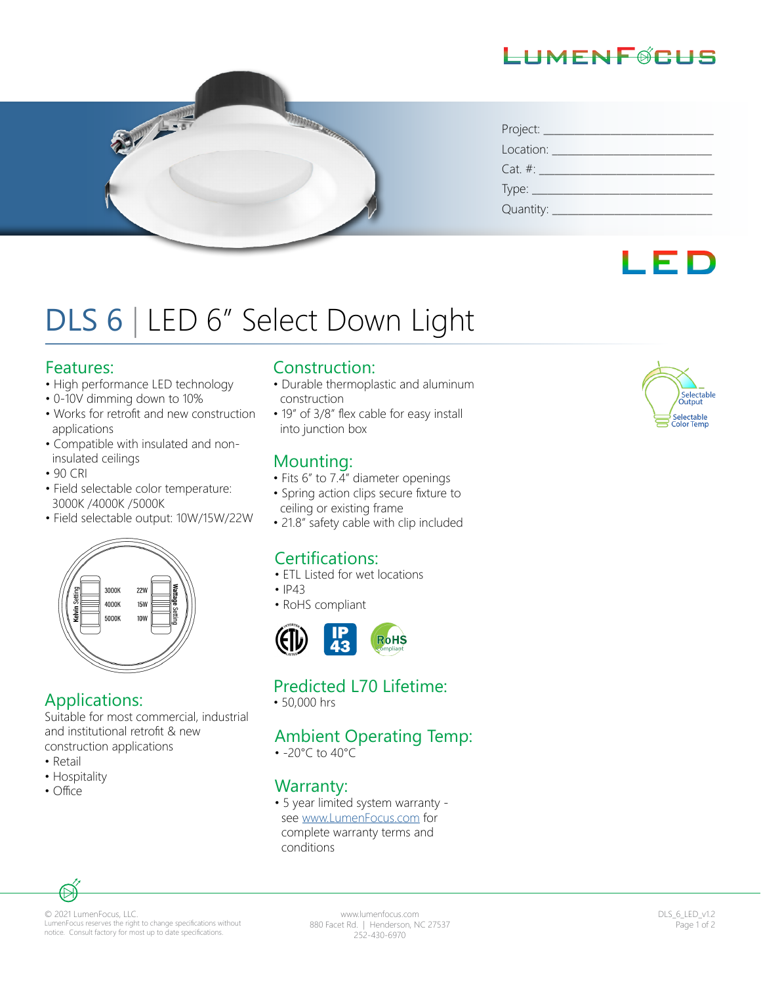## LHMENFØCHS



| Project: __                    |  |  |  |
|--------------------------------|--|--|--|
| Location:                      |  |  |  |
| $Cat. \#:$                     |  |  |  |
| Type: $\overline{\phantom{a}}$ |  |  |  |
| Quantity:                      |  |  |  |



# DLS 6 | LED 6" Select Down Light

#### Features:

- High performance LED technology
- 0-10V dimming down to 10%
- Works for retrofit and new construction applications
- Compatible with insulated and non insulated ceilings
- 90 CRI
- Field selectable color temperature: 3000K /4000K /5000K
- Field selectable output: 10W/15W/22W



## Applications:

Suitable for most commercial, industrial and institutional retrofit & new construction applications

- Retail
- Hospitality
- Office

### Construction:

- Durable thermoplastic and aluminum construction
- 19" of 3/8" flex cable for easy install into junction box

## Mounting:

- Fits 6" to  $7.\overline{4}$ " diameter openings
- Spring action clips secure fixture to ceiling or existing frame
- 21.8" safety cable with clip included

## Certifications:

- ETL Listed for wet locations
- $•$   $|P43$
- RoHS compliant



## Predicted L70 Lifetime:

• 50,000 hrs

## Ambient Operating Temp:

• -20°C to 40°C

## Warranty:

• 5 year limited system warranty see www.LumenFocus.com for complete warranty terms and conditions



© 2021 LumenFocus, LLC. LumenFocus reserves the right to change specifications without notice. Consult factory for most up to date specifications.

www.lumenfocus.com 880 Facet Rd. | Henderson, NC 27537 252-430-6970

DLS\_6\_LED\_v1.2 Page 1 of 2